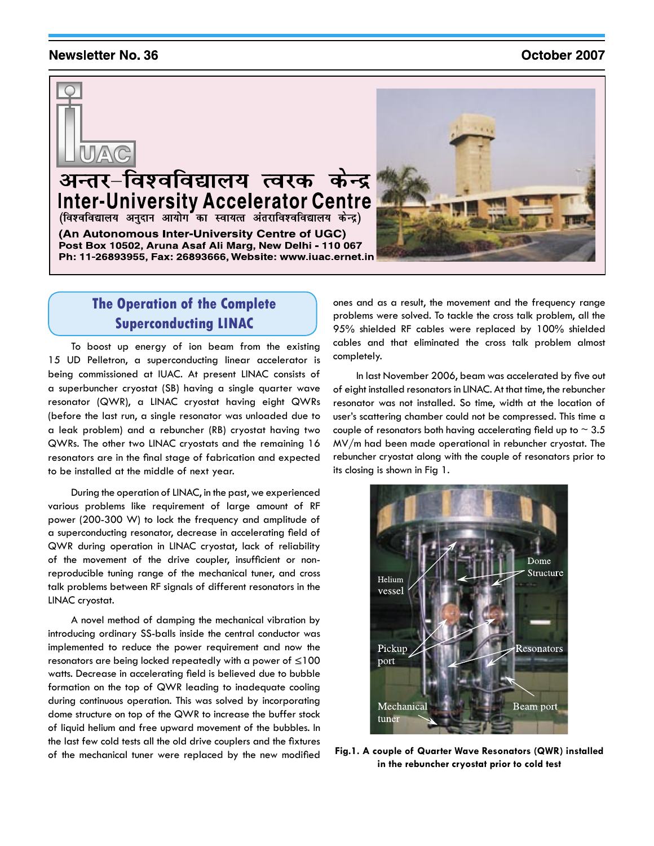#### **Newsletter No. 36**

#### October 2007



# अन्तर-विश्वविद्यालय त्वरक केन्द्र Inter-University Accelerator Centre

(An Autonomous Inter-University Centre of UGC) Post Box 10502, Aruna Asaf Ali Marg, New Delhi - 110 067 Ph: 11-26893955, Fax: 26893666, Website: www.iuac.ernet.in



## **The Operation of the Complete Superconducting LINAC**

To boost up energy of ion beam from the existing 15 UD Pelletron, a superconducting linear accelerator is being commissioned at IUAC. At present LINAC consists of a superbuncher cryostat (SB) having a single quarter wave resonator (QWR), a LINAC cryostat having eight QWRs (before the last run, a single resonator was unloaded due to a leak problem) and a rebuncher (RB) cryostat having two QWRs. The other two LINAC cryostats and the remaining 16 resonators are in the final stage of fabrication and expected to be installed at the middle of next year.

During the operation of LINAC, in the past, we experienced various problems like requirement of large amount of RF power (200-300 W) to lock the frequency and amplitude of a superconducting resonator, decrease in accelerating field of QWR during operation in LINAC cryostat, lack of reliability of the movement of the drive coupler, insufficient or nonreproducible tuning range of the mechanical tuner, and cross talk problems between RF signals of different resonators in the LINAC cryostat.

A novel method of damping the mechanical vibration by introducing ordinary SS-balls inside the central conductor was implemented to reduce the power requirement and now the resonators are being locked repeatedly with a power of  $\leq 100$ watts. Decrease in accelerating field is believed due to bubble formation on the top of QWR leading to inadequate cooling during continuous operation. This was solved by incorporating dome structure on top of the QWR to increase the buffer stock of liquid helium and free upward movement of the bubbles. In the last few cold tests all the old drive couplers and the fixtures of the mechanical tuner were replaced by the new modified ones and as a result, the movement and the frequency range problems were solved. To tackle the cross talk problem, all the 95% shielded RF cables were replaced by 100% shielded cables and that eliminated the cross talk problem almost completely.

In last November 2006, beam was accelerated by five out of eight installed resonators in LINAC. At that time, the rebuncher resonator was not installed. So time, width at the location of user's scattering chamber could not be compressed. This time a couple of resonators both having accelerating field up to  $\sim$  3.5 MV/m had been made operational in rebuncher cryostat. The rebuncher cryostat along with the couple of resonators prior to its closing is shown in Fig 1.



**Fig.1. A couple of Quarter Wave Resonators (QWR) installed in the rebuncher cryostat prior to cold test**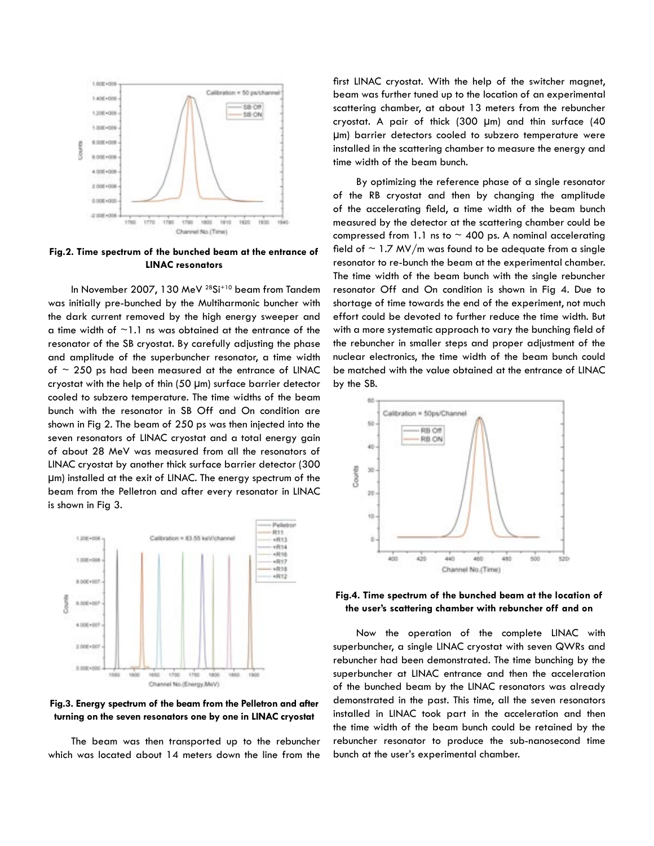

**Fig.2. Time spectrum of the bunched beam at the entrance of LINAC resonators**

In November 2007, 130 MeV 28Si+10 beam from Tandem was initially pre-bunched by the Multiharmonic buncher with the dark current removed by the high energy sweeper and a time width of  $\sim$ 1.1 ns was obtained at the entrance of the resonator of the SB cryostat. By carefully adjusting the phase and amplitude of the superbuncher resonator, a time width of  $\sim$  250 ps had been measured at the entrance of LINAC cryostat with the help of thin (50 µm) surface barrier detector cooled to subzero temperature. The time widths of the beam bunch with the resonator in SB Off and On condition are shown in Fig 2. The beam of 250 ps was then injected into the seven resonators of LINAC cryostat and a total energy gain of about 28 MeV was measured from all the resonators of LINAC cryostat by another thick surface barrier detector (300 µm) installed at the exit of LINAC. The energy spectrum of the beam from the Pelletron and after every resonator in LINAC is shown in Fig 3.



**Fig.3. Energy spectrum of the beam from the Pelletron and after turning on the seven resonators one by one in LINAC cryostat**

The beam was then transported up to the rebuncher which was located about 14 meters down the line from the

first LINAC cryostat. With the help of the switcher magnet, beam was further tuned up to the location of an experimental scattering chamber, at about 13 meters from the rebuncher cryostat. A pair of thick (300 µm) and thin surface (40 µm) barrier detectors cooled to subzero temperature were installed in the scattering chamber to measure the energy and time width of the beam bunch.

By optimizing the reference phase of a single resonator of the RB cryostat and then by changing the amplitude of the accelerating field, a time width of the beam bunch measured by the detector at the scattering chamber could be compressed from 1.1 ns to  $\sim$  400 ps. A nominal accelerating field of  $\sim$  1.7 MV/m was found to be adequate from a single resonator to re-bunch the beam at the experimental chamber. The time width of the beam bunch with the single rebuncher resonator Off and On condition is shown in Fig 4. Due to shortage of time towards the end of the experiment, not much effort could be devoted to further reduce the time width. But with a more systematic approach to vary the bunching field of the rebuncher in smaller steps and proper adjustment of the nuclear electronics, the time width of the beam bunch could be matched with the value obtained at the entrance of LINAC by the SB.



**Fig.4. Time spectrum of the bunched beam at the location of the user's scattering chamber with rebuncher off and on**

Now the operation of the complete LINAC with superbuncher, a single LINAC cryostat with seven QWRs and rebuncher had been demonstrated. The time bunching by the superbuncher at LINAC entrance and then the acceleration of the bunched beam by the LINAC resonators was already demonstrated in the past. This time, all the seven resonators installed in LINAC took part in the acceleration and then the time width of the beam bunch could be retained by the rebuncher resonator to produce the sub-nanosecond time bunch at the user's experimental chamber.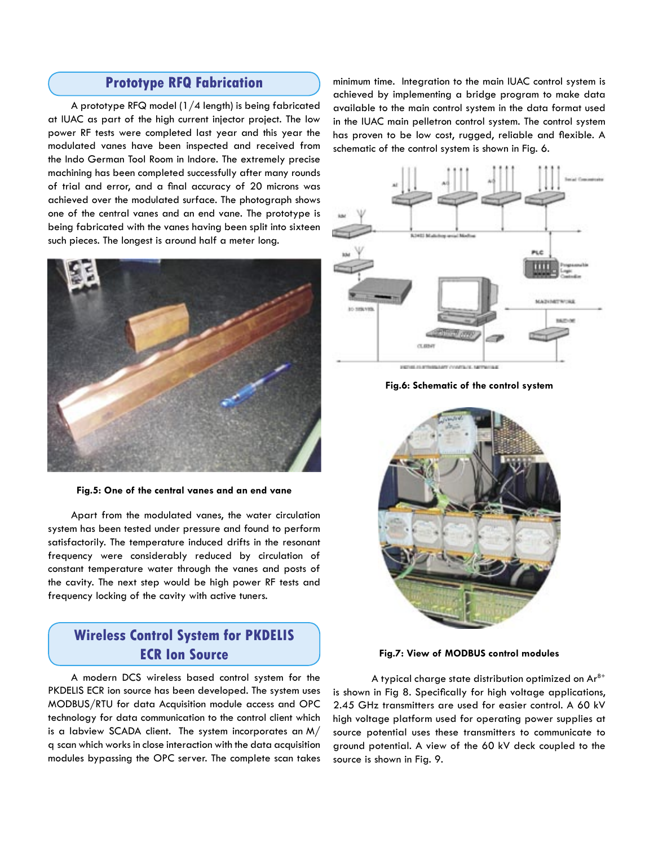#### **Prototype RFQ Fabrication**

A prototype RFQ model (1/4 length) is being fabricated at IUAC as part of the high current injector project. The low power RF tests were completed last year and this year the modulated vanes have been inspected and received from the Indo German Tool Room in Indore. The extremely precise machining has been completed successfully after many rounds of trial and error, and a final accuracy of 20 microns was achieved over the modulated surface. The photograph shows one of the central vanes and an end vane. The prototype is being fabricated with the vanes having been split into sixteen such pieces. The longest is around half a meter long.



**Fig.5: One of the central vanes and an end vane**

Apart from the modulated vanes, the water circulation system has been tested under pressure and found to perform satisfactorily. The temperature induced drifts in the resonant frequency were considerably reduced by circulation of constant temperature water through the vanes and posts of the cavity. The next step would be high power RF tests and frequency locking of the cavity with active tuners.

### **Wireless Control System for PKDELIS ECR Ion Source**

A modern DCS wireless based control system for the PKDELIS ECR ion source has been developed. The system uses MODBUS/RTU for data Acquisition module access and OPC technology for data communication to the control client which is a labview SCADA client. The system incorporates an M/ q scan which works in close interaction with the data acquisition modules bypassing the OPC server. The complete scan takes

minimum time. Integration to the main IUAC control system is achieved by implementing a bridge program to make data available to the main control system in the data format used in the IUAC main pelletron control system. The control system has proven to be low cost, rugged, reliable and flexible. A schematic of the control system is shown in Fig. 6.



**Fig.6: Schematic of the control system**



**Fig.7: View of MODBUS control modules**

A typical charge state distribution optimized on  $Ar^{8+}$ is shown in Fig 8. Specifically for high voltage applications, 2.45 GHz transmitters are used for easier control. A 60 kV high voltage platform used for operating power supplies at source potential uses these transmitters to communicate to ground potential. A view of the 60 kV deck coupled to the source is shown in Fig. 9.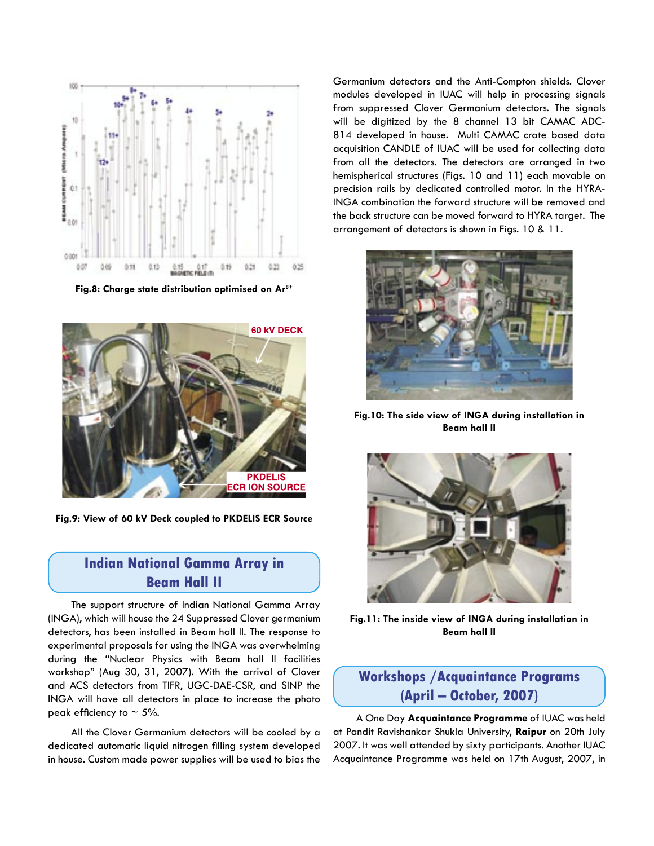

**Fig.8: Charge state distribution optimised on Ar8+**



**Fig.9: View of 60 kV Deck coupled to PKDELIS ECR Source**

#### **Indian National Gamma Array in Beam Hall II**

The support structure of Indian National Gamma Array (INGA), which will house the 24 Suppressed Clover germanium detectors, has been installed in Beam hall II. The response to experimental proposals for using the INGA was overwhelming during the "Nuclear Physics with Beam hall II facilities workshop" (Aug 30, 31, 2007). With the arrival of Clover and ACS detectors from TIFR, UGC-DAE-CSR, and SINP the INGA will have all detectors in place to increase the photo peak efficiency to  $\sim$  5%.

All the Clover Germanium detectors will be cooled by a dedicated automatic liquid nitrogen filling system developed in house. Custom made power supplies will be used to bias the

Germanium detectors and the Anti-Compton shields. Clover modules developed in IUAC will help in processing signals from suppressed Clover Germanium detectors. The signals will be digitized by the 8 channel 13 bit CAMAC ADC-814 developed in house. Multi CAMAC crate based data acquisition CANDLE of IUAC will be used for collecting data from all the detectors. The detectors are arranged in two hemispherical structures (Figs. 10 and 11) each movable on precision rails by dedicated controlled motor. In the HYRA-INGA combination the forward structure will be removed and the back structure can be moved forward to HYRA target. The arrangement of detectors is shown in Figs. 10 & 11.



**Fig.10: The side view of INGA during installation in Beam hall II**



**Fig.11: The inside view of INGA during installation in Beam hall II**

## **Workshops /Acquaintance Programs (April – October, 2007)**

A One Day **Acquaintance Programme** of IUAC was held at Pandit Ravishankar Shukla University, **Raipur** on 20th July 2007. It was well attended by sixty participants. Another IUAC Acquaintance Programme was held on 17th August, 2007, in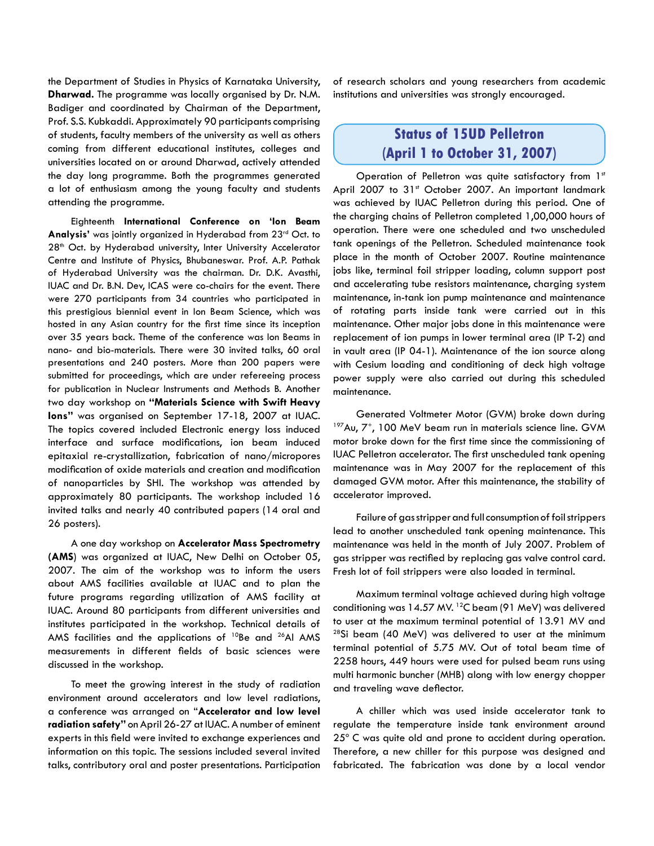the Department of Studies in Physics of Karnataka University, **Dharwad.** The programme was locally organised by Dr. N.M. Badiger and coordinated by Chairman of the Department, Prof. S.S. Kubkaddi. Approximately 90 participants comprising of students, faculty members of the university as well as others coming from different educational institutes, colleges and universities located on or around Dharwad, actively attended the day long programme. Both the programmes generated a lot of enthusiasm among the young faculty and students attending the programme.

Eighteenth **International Conference on 'Ion Beam Analysis'** was jointly organized in Hyderabad from 23rd Oct. to 28<sup>th</sup> Oct. by Hyderabad university, Inter University Accelerator Centre and Institute of Physics, Bhubaneswar. Prof. A.P. Pathak of Hyderabad University was the chairman. Dr. D.K. Avasthi, IUAC and Dr. B.N. Dev, ICAS were co-chairs for the event. There were 270 participants from 34 countries who participated in this prestigious biennial event in Ion Beam Science, which was hosted in any Asian country for the first time since its inception over 35 years back. Theme of the conference was Ion Beams in nano- and bio-materials. There were 30 invited talks, 60 oral presentations and 240 posters. More than 200 papers were submitted for proceedings, which are under refereeing process for publication in Nuclear Instruments and Methods B. Another two day workshop on **"Materials Science with Swift Heavy Ions"** was organised on September 17-18, 2007 at IUAC. The topics covered included Electronic energy loss induced interface and surface modifications, ion beam induced epitaxial re-crystallization, fabrication of nano/micropores modification of oxide materials and creation and modification of nanoparticles by SHI. The workshop was attended by approximately 80 participants. The workshop included 16 invited talks and nearly 40 contributed papers (14 oral and 26 posters).

A one day workshop on **Accelerator Mass Spectrometry (AMS**) was organized at IUAC, New Delhi on October 05, 2007. The aim of the workshop was to inform the users about AMS facilities available at IUAC and to plan the future programs regarding utilization of AMS facility at IUAC. Around 80 participants from different universities and institutes participated in the workshop. Technical details of AMS facilities and the applications of  $10Be$  and  $26AI$  AMS measurements in different fields of basic sciences were discussed in the workshop.

To meet the growing interest in the study of radiation environment around accelerators and low level radiations, a conference was arranged on "**Accelerator and low level radiation safety"** on April 26-27 at IUAC. A number of eminent experts in this field were invited to exchange experiences and information on this topic. The sessions included several invited talks, contributory oral and poster presentations. Participation

of research scholars and young researchers from academic institutions and universities was strongly encouraged.

### **Status of 15UD Pelletron (April 1 to October 31, 2007)**

Operation of Pelletron was quite satisfactory from 1st April 2007 to 31st October 2007. An important landmark was achieved by IUAC Pelletron during this period. One of the charging chains of Pelletron completed 1,00,000 hours of operation. There were one scheduled and two unscheduled tank openings of the Pelletron. Scheduled maintenance took place in the month of October 2007. Routine maintenance jobs like, terminal foil stripper loading, column support post and accelerating tube resistors maintenance, charging system maintenance, in-tank ion pump maintenance and maintenance of rotating parts inside tank were carried out in this maintenance. Other major jobs done in this maintenance were replacement of ion pumps in lower terminal area (IP T-2) and in vault area (IP 04-1). Maintenance of the ion source along with Cesium loading and conditioning of deck high voltage power supply were also carried out during this scheduled maintenance.

Generated Voltmeter Motor (GVM) broke down during 197Au, 7+, 100 MeV beam run in materials science line. GVM motor broke down for the first time since the commissioning of IUAC Pelletron accelerator. The first unscheduled tank opening maintenance was in May 2007 for the replacement of this damaged GVM motor. After this maintenance, the stability of accelerator improved.

Failure of gas stripper and full consumption of foil strippers lead to another unscheduled tank opening maintenance. This maintenance was held in the month of July 2007. Problem of gas stripper was rectified by replacing gas valve control card. Fresh lot of foil strippers were also loaded in terminal.

Maximum terminal voltage achieved during high voltage conditioning was  $14.57$  MV. <sup>12</sup>C beam (91 MeV) was delivered to user at the maximum terminal potential of 13.91 MV and  $28$ Si beam (40 MeV) was delivered to user at the minimum terminal potential of 5.75 MV. Out of total beam time of 2258 hours, 449 hours were used for pulsed beam runs using multi harmonic buncher (MHB) along with low energy chopper and traveling wave deflector.

A chiller which was used inside accelerator tank to regulate the temperature inside tank environment around 25° C was quite old and prone to accident during operation. Therefore, a new chiller for this purpose was designed and fabricated. The fabrication was done by a local vendor